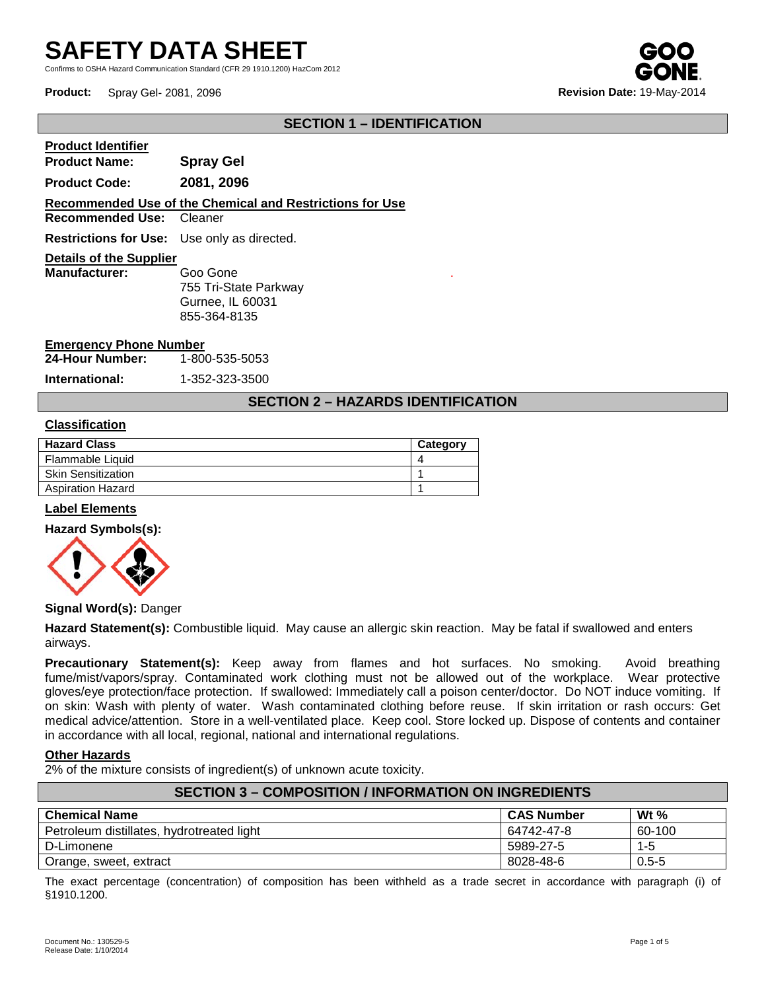# **SAFETY DATA SHEET**

Confirms to OSHA Hazard Communication Standard (CFR 29 1910.1200) HazCom 2012

**Product:** Spray Gel- 2081, 2096 **Revision Date:** 19-May-2014

# **SECTION 1 – IDENTIFICATION**

.

| <b>Product Identifier</b> |                  |
|---------------------------|------------------|
| <b>Product Name:</b>      | <b>Spray Gel</b> |

**Product Code: 2081, 2096**

#### **Recommended Use of the Chemical and Restrictions for Use**

**Recommended Use:** Cleaner

**Restrictions for Use:** Use only as directed.

#### **Details of the Supplier**

**Manufacturer:** Goo Gone 755 Tri-State Parkway Gurnee, IL 60031 855-364-8135

**Emergency Phone Number<br>24-Hour Number:** 1-800-535-5053 **24-Hour Number:** 

**International:** 1-352-323-3500

# **SECTION 2 – HAZARDS IDENTIFICATION**

#### **Classification**

| <b>Hazard Class</b>       | Category |
|---------------------------|----------|
| Flammable Liquid          |          |
| <b>Skin Sensitization</b> |          |
| <b>Aspiration Hazard</b>  |          |

### **Label Elements**

#### **Hazard Symbols(s):**



#### **Signal Word(s):** Danger

**Hazard Statement(s):** Combustible liquid. May cause an allergic skin reaction. May be fatal if swallowed and enters airways.

**Precautionary Statement(s):** Keep away from flames and hot surfaces. No smoking. Avoid breathing fume/mist/vapors/spray. Contaminated work clothing must not be allowed out of the workplace. Wear protective gloves/eye protection/face protection. If swallowed: Immediately call a poison center/doctor. Do NOT induce vomiting. If on skin: Wash with plenty of water. Wash contaminated clothing before reuse. If skin irritation or rash occurs: Get medical advice/attention. Store in a well-ventilated place. Keep cool. Store locked up. Dispose of contents and container in accordance with all local, regional, national and international regulations.

#### **Other Hazards**

2% of the mixture consists of ingredient(s) of unknown acute toxicity.

# **SECTION 3 – COMPOSITION / INFORMATION ON INGREDIENTS Chemical Name CAS Number Wt %** Petroleum distillates, hydrotreated light 64742-47-8 60-100 D-Limonene 5989-27-5 1-5 Orange, sweet, extract and the state  $\vert$  8028-48-6  $\vert$  0.5-5

The exact percentage (concentration) of composition has been withheld as a trade secret in accordance with paragraph (i) of §1910.1200.

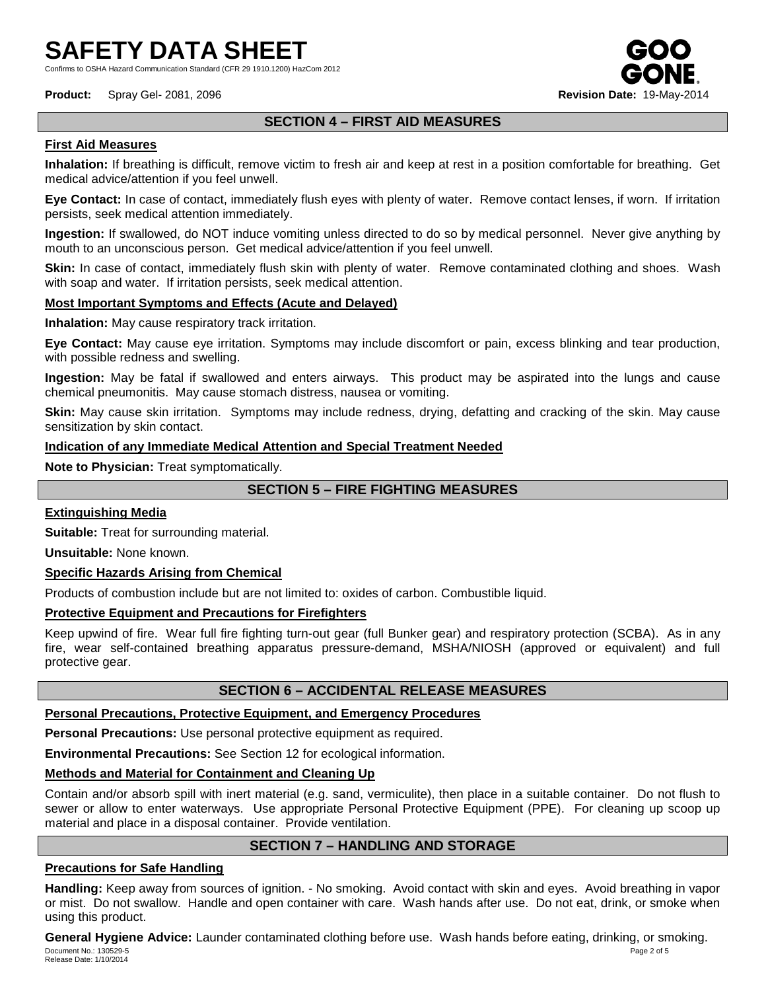**SAFETY DATA SHEET** Confirms to OSHA Hazard Communication Standard (CFR 29 1910.1200) HazCom 2012

**Product:** Spray Gel- 2081, 2096 **Revision Date:** 19-May-2014

# **SECTION 4 – FIRST AID MEASURES**

# **First Aid Measures**

**Inhalation:** If breathing is difficult, remove victim to fresh air and keep at rest in a position comfortable for breathing. Get medical advice/attention if you feel unwell.

**Eye Contact:** In case of contact, immediately flush eyes with plenty of water. Remove contact lenses, if worn. If irritation persists, seek medical attention immediately.

**Ingestion:** If swallowed, do NOT induce vomiting unless directed to do so by medical personnel. Never give anything by mouth to an unconscious person. Get medical advice/attention if you feel unwell.

**Skin:** In case of contact, immediately flush skin with plenty of water. Remove contaminated clothing and shoes. Wash with soap and water. If irritation persists, seek medical attention.

#### **Most Important Symptoms and Effects (Acute and Delayed)**

**Inhalation:** May cause respiratory track irritation.

**Eye Contact:** May cause eye irritation. Symptoms may include discomfort or pain, excess blinking and tear production, with possible redness and swelling.

**Ingestion:** May be fatal if swallowed and enters airways. This product may be aspirated into the lungs and cause chemical pneumonitis. May cause stomach distress, nausea or vomiting.

**Skin:** May cause skin irritation. Symptoms may include redness, drying, defatting and cracking of the skin. May cause sensitization by skin contact.

#### **Indication of any Immediate Medical Attention and Special Treatment Needed**

**Note to Physician:** Treat symptomatically.

# **SECTION 5 – FIRE FIGHTING MEASURES**

#### **Extinguishing Media**

**Suitable:** Treat for surrounding material.

**Unsuitable:** None known.

#### **Specific Hazards Arising from Chemical**

Products of combustion include but are not limited to: oxides of carbon. Combustible liquid.

# **Protective Equipment and Precautions for Firefighters**

Keep upwind of fire. Wear full fire fighting turn-out gear (full Bunker gear) and respiratory protection (SCBA). As in any fire, wear self-contained breathing apparatus pressure-demand, MSHA/NIOSH (approved or equivalent) and full protective gear.

#### **SECTION 6 – ACCIDENTAL RELEASE MEASURES**

#### **Personal Precautions, Protective Equipment, and Emergency Procedures**

**Personal Precautions:** Use personal protective equipment as required.

**Environmental Precautions:** See Section 12 for ecological information.

#### **Methods and Material for Containment and Cleaning Up**

Contain and/or absorb spill with inert material (e.g. sand, vermiculite), then place in a suitable container. Do not flush to sewer or allow to enter waterways. Use appropriate Personal Protective Equipment (PPE). For cleaning up scoop up material and place in a disposal container. Provide ventilation.

#### **SECTION 7 – HANDLING AND STORAGE**

#### **Precautions for Safe Handling**

**Handling:** Keep away from sources of ignition. - No smoking. Avoid contact with skin and eyes. Avoid breathing in vapor or mist. Do not swallow. Handle and open container with care. Wash hands after use. Do not eat, drink, or smoke when using this product.

Document No.: 130529-5 Page 2 of 5 Release Date: 1/10/2014 **General Hygiene Advice:** Launder contaminated clothing before use. Wash hands before eating, drinking, or smoking.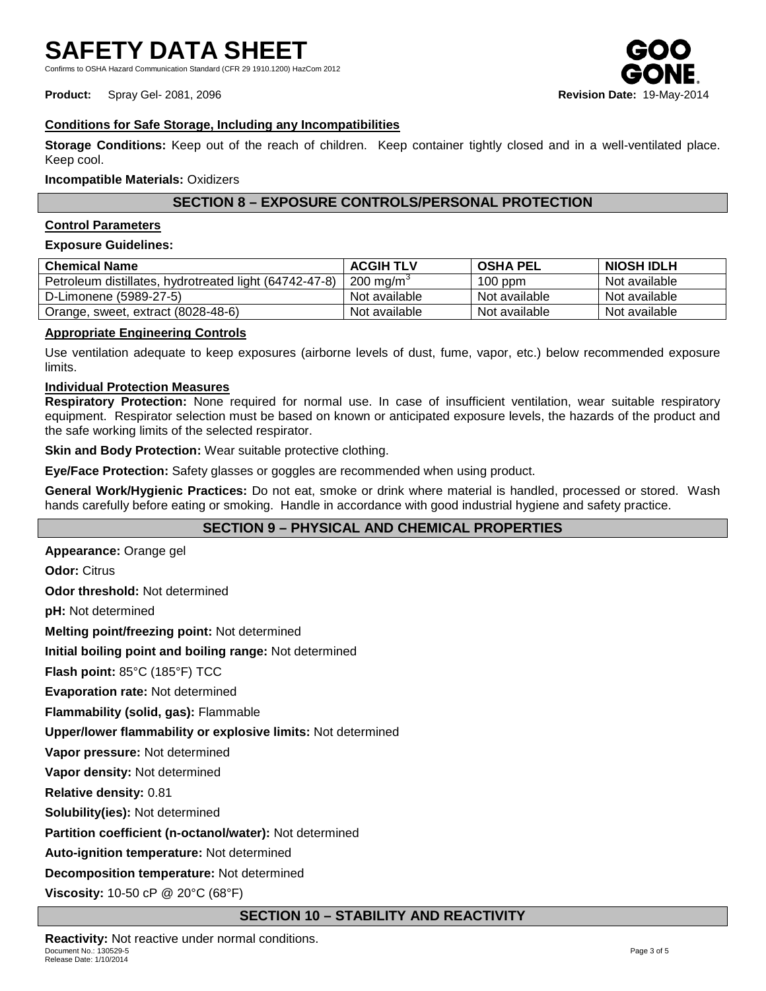**Product:** Spray Gel- 2081, 2096 **Revision Date: 19-May-2014 Revision Date: 19-May-2014** 

#### **Conditions for Safe Storage, Including any Incompatibilities**

**Storage Conditions:** Keep out of the reach of children. Keep container tightly closed and in a well-ventilated place. Keep cool.

**Incompatible Materials:** Oxidizers

# **SECTION 8 – EXPOSURE CONTROLS/PERSONAL PROTECTION**

### **Control Parameters**

**Exposure Guidelines:**

| <b>Chemical Name</b>                                   | <b>ACGIH TLV</b>      | <b>OSHA PEL</b> | <b>NIOSH IDLH</b> |
|--------------------------------------------------------|-----------------------|-----------------|-------------------|
| Petroleum distillates, hydrotreated light (64742-47-8) | 200 mg/m <sup>3</sup> | $100$ ppm       | Not available     |
| D-Limonene (5989-27-5)                                 | Not available         | Not available   | Not available     |
| Orange, sweet, extract (8028-48-6)                     | Not available         | Not available   | Not available     |

#### **Appropriate Engineering Controls**

Use ventilation adequate to keep exposures (airborne levels of dust, fume, vapor, etc.) below recommended exposure limits.

#### **Individual Protection Measures**

**Respiratory Protection:** None required for normal use. In case of insufficient ventilation, wear suitable respiratory equipment. Respirator selection must be based on known or anticipated exposure levels, the hazards of the product and the safe working limits of the selected respirator.

**Skin and Body Protection:** Wear suitable protective clothing.

**Eye/Face Protection:** Safety glasses or goggles are recommended when using product.

**General Work/Hygienic Practices:** Do not eat, smoke or drink where material is handled, processed or stored. Wash hands carefully before eating or smoking. Handle in accordance with good industrial hygiene and safety practice.

### **SECTION 9 – PHYSICAL AND CHEMICAL PROPERTIES**

**Appearance:** Orange gel **Odor:** Citrus **Odor threshold:** Not determined **pH:** Not determined **Melting point/freezing point:** Not determined **Initial boiling point and boiling range:** Not determined **Flash point:** 85°C (185°F) TCC **Evaporation rate:** Not determined **Flammability (solid, gas):** Flammable **Upper/lower flammability or explosive limits:** Not determined **Vapor pressure:** Not determined **Vapor density:** Not determined **Relative density:** 0.81 **Solubility(ies):** Not determined **Partition coefficient (n-octanol/water):** Not determined **Auto-ignition temperature:** Not determined **Decomposition temperature:** Not determined **Viscosity:** 10-50 cP @ 20°C (68°F) **SECTION 10 – STABILITY AND REACTIVITY**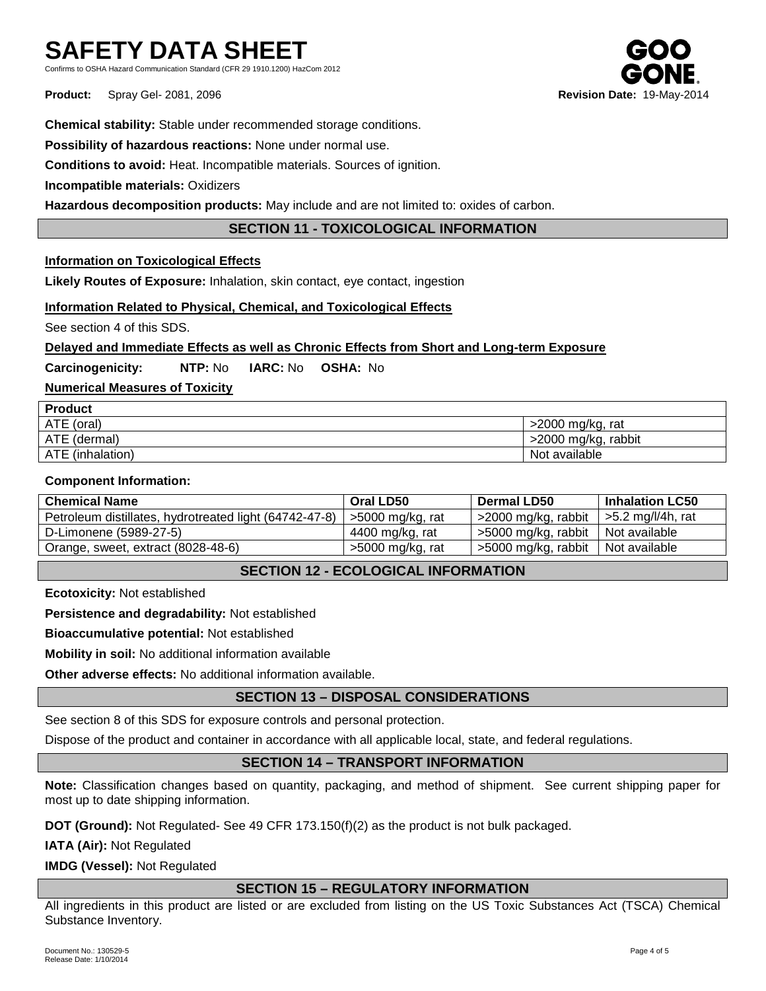# **SAFETY DATA SHEET**

Hazard Communication Standard (CER 29 1910 1200) HazCom 2012

**Product:** Spray Gel- 2081, 2096 **Revision Date:** 19-May-2014

**Chemical stability:** Stable under recommended storage conditions.

**Possibility of hazardous reactions:** None under normal use.

**Conditions to avoid:** Heat. Incompatible materials. Sources of ignition.

**Incompatible materials:** Oxidizers

**Hazardous decomposition products:** May include and are not limited to: oxides of carbon.

# **SECTION 11 - TOXICOLOGICAL INFORMATION**

#### **Information on Toxicological Effects**

**Likely Routes of Exposure:** Inhalation, skin contact, eye contact, ingestion

#### **Information Related to Physical, Chemical, and Toxicological Effects**

See section 4 of this SDS.

#### **Delayed and Immediate Effects as well as Chronic Effects from Short and Long-term Exposure**

**Carcinogenicity: NTP:** No **IARC:** No **OSHA:** No

# **Numerical Measures of Toxicity**

| <b>Product</b>   |                     |
|------------------|---------------------|
| ATE (oral)       | $>$ 2000 mg/kg, rat |
| ATE (dermal)     | >2000 mg/kg, rabbit |
| ATE (inhalation) | Not available       |

#### **Component Information:**

| <b>Chemical Name</b>                                   | Oral LD50          | <b>Dermal LD50</b>  | <b>Inhalation LC50</b> |
|--------------------------------------------------------|--------------------|---------------------|------------------------|
| Petroleum distillates, hydrotreated light (64742-47-8) | >5000 mg/kg, rat   | >2000 mg/kg, rabbit | $\ge$ 5.2 mg/l/4h, rat |
| D-Limonene (5989-27-5)                                 | 4400 mg/kg, rat    | >5000 mg/kg, rabbit | Not available          |
| Orange, sweet, extract (8028-48-6)                     | $>5000$ mg/kg, rat | >5000 mg/kg, rabbit | Not available          |

### **SECTION 12 - ECOLOGICAL INFORMATION**

**Ecotoxicity:** Not established

**Persistence and degradability:** Not established

**Bioaccumulative potential:** Not established

**Mobility in soil:** No additional information available

**Other adverse effects:** No additional information available.

### **SECTION 13 – DISPOSAL CONSIDERATIONS**

See section 8 of this SDS for exposure controls and personal protection.

Dispose of the product and container in accordance with all applicable local, state, and federal regulations.

#### **SECTION 14 – TRANSPORT INFORMATION**

**Note:** Classification changes based on quantity, packaging, and method of shipment. See current shipping paper for most up to date shipping information.

**DOT (Ground):** Not Regulated- See 49 CFR 173.150(f)(2) as the product is not bulk packaged.

**IATA (Air):** Not Regulated

**IMDG (Vessel):** Not Regulated

# **SECTION 15 – REGULATORY INFORMATION**

All ingredients in this product are listed or are excluded from listing on the US Toxic Substances Act (TSCA) Chemical Substance Inventory.